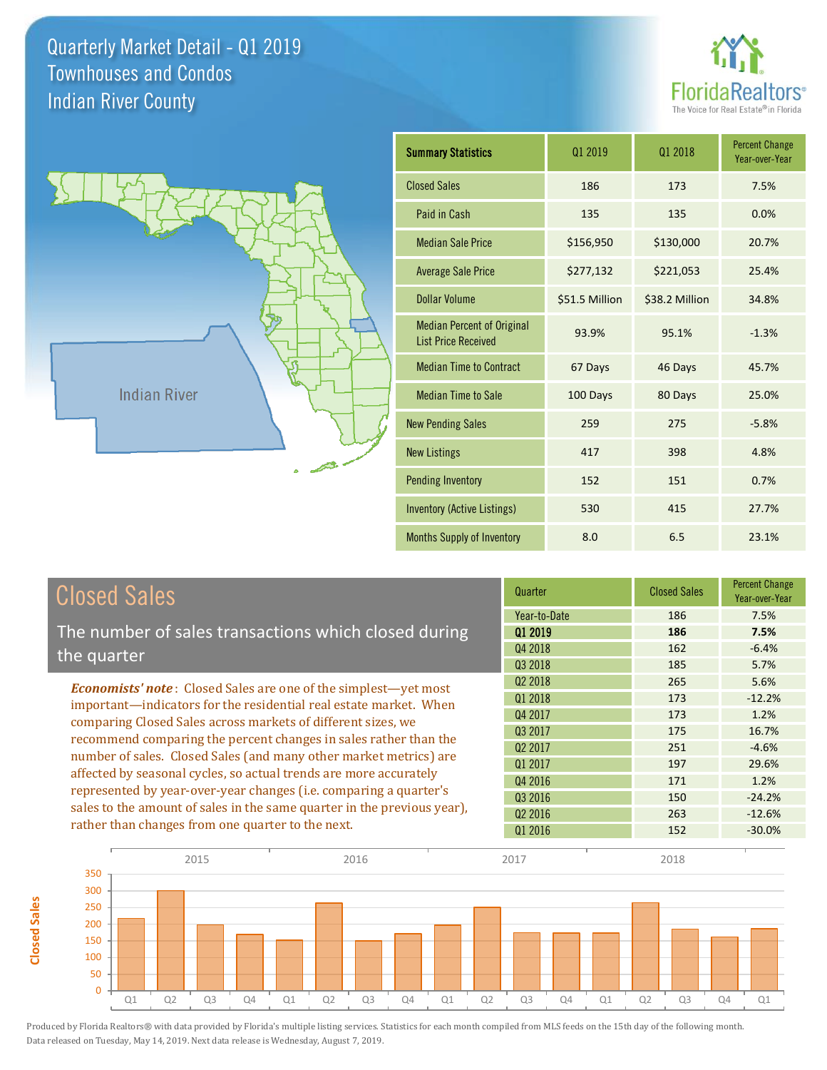**Closed Sales**

**Closed Sales** 





| <b>Summary Statistics</b>                                       | 01 2019        | 01 2018        | <b>Percent Change</b><br>Year-over-Year |
|-----------------------------------------------------------------|----------------|----------------|-----------------------------------------|
| <b>Closed Sales</b>                                             | 186            | 173            | 7.5%                                    |
| Paid in Cash                                                    | 135            | 135            | 0.0%                                    |
| <b>Median Sale Price</b>                                        | \$156,950      | \$130,000      | 20.7%                                   |
| <b>Average Sale Price</b>                                       | \$277,132      | \$221,053      | 25.4%                                   |
| <b>Dollar Volume</b>                                            | \$51.5 Million | \$38.2 Million | 34.8%                                   |
| <b>Median Percent of Original</b><br><b>List Price Received</b> | 93.9%          | 95.1%          | $-1.3%$                                 |
| <b>Median Time to Contract</b>                                  | 67 Days        | 46 Days        | 45.7%                                   |
| <b>Median Time to Sale</b>                                      | 100 Days       | 80 Days        | 25.0%                                   |
| <b>New Pending Sales</b>                                        | 259            | 275            | $-5.8%$                                 |
| <b>New Listings</b>                                             | 417            | 398            | 4.8%                                    |
| <b>Pending Inventory</b>                                        | 152            | 151            | 0.7%                                    |
| <b>Inventory (Active Listings)</b>                              | 530            | 415            | 27.7%                                   |
| Months Supply of Inventory                                      | 8.0            | 6.5            | 23.1%                                   |

| <b>Closed Sales</b>                                                     | Quarter             | <b>Closed Sales</b> | <b>Percent Change</b><br>Year-over-Year |
|-------------------------------------------------------------------------|---------------------|---------------------|-----------------------------------------|
|                                                                         | Year-to-Date        | 186                 | 7.5%                                    |
| The number of sales transactions which closed during                    | 01 2019             | 186                 | 7.5%                                    |
| the quarter                                                             | Q4 2018             | 162                 | $-6.4%$                                 |
|                                                                         | Q3 2018             | 185                 | 5.7%                                    |
| <b>Economists' note:</b> Closed Sales are one of the simplest—yet most  | Q <sub>2</sub> 2018 | 265                 | 5.6%                                    |
| important—indicators for the residential real estate market. When       | Q1 2018             | 173                 | $-12.2%$                                |
| comparing Closed Sales across markets of different sizes, we            | Q4 2017             | 173                 | 1.2%                                    |
| recommend comparing the percent changes in sales rather than the        | 03 2017             | 175                 | 16.7%                                   |
| number of sales. Closed Sales (and many other market metrics) are       | Q <sub>2</sub> 2017 | 251                 | $-4.6%$                                 |
|                                                                         | 01 2017             | 197                 | 29.6%                                   |
| affected by seasonal cycles, so actual trends are more accurately       | Q4 2016             | 171                 | 1.2%                                    |
| represented by year-over-year changes (i.e. comparing a quarter's       | Q3 2016             | 150                 | $-24.2%$                                |
| sales to the amount of sales in the same quarter in the previous year), | Q <sub>2</sub> 2016 | 263                 | $-12.6%$                                |
| rather than changes from one quarter to the next.                       | 01 2016             | 152                 | $-30.0\%$                               |

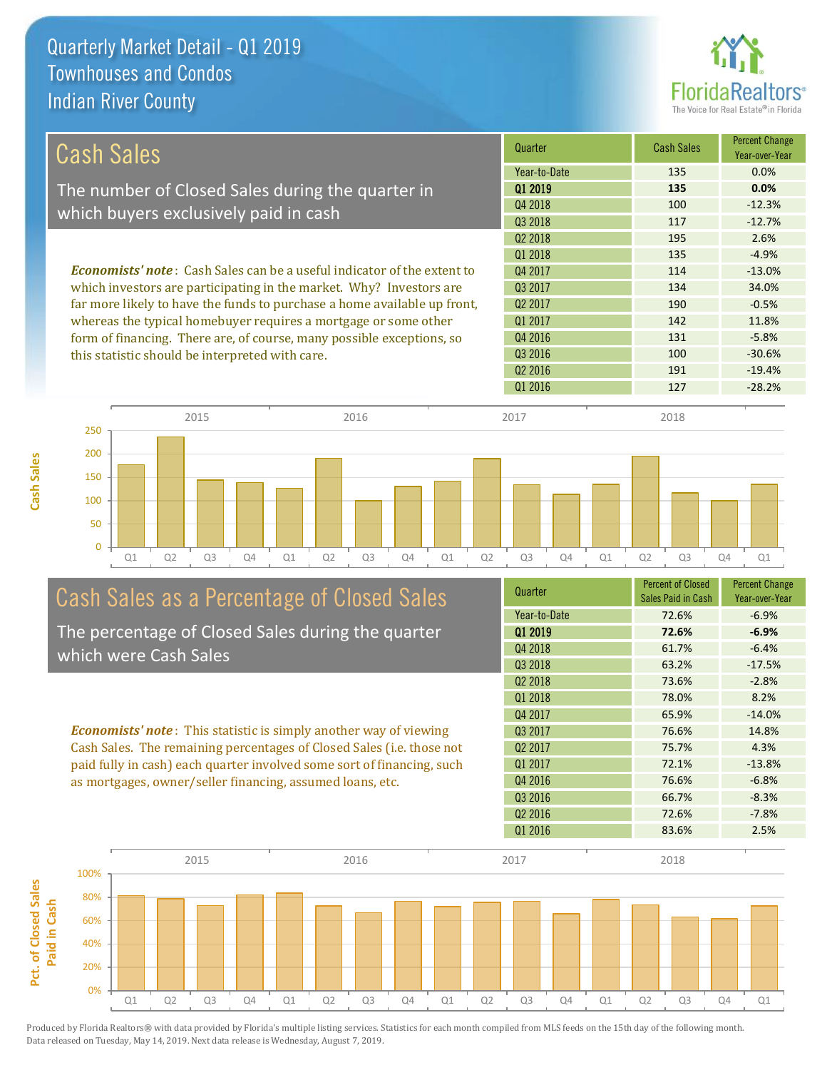**Cash Sales**



| <b>Cash Sales</b>                                                              | Quarter             | <b>Cash Sales</b> | <b>Percent Change</b><br>Year-over-Year |
|--------------------------------------------------------------------------------|---------------------|-------------------|-----------------------------------------|
|                                                                                | Year-to-Date        | 135               | $0.0\%$                                 |
| The number of Closed Sales during the quarter in                               | 01 2019             | 135               | 0.0%                                    |
| which buyers exclusively paid in cash                                          | Q4 2018             | 100               | $-12.3%$                                |
|                                                                                | Q3 2018             | 117               | $-12.7%$                                |
|                                                                                | Q <sub>2</sub> 2018 | 195               | 2.6%                                    |
|                                                                                | 01 2018             | 135               | $-4.9%$                                 |
| <b>Economists' note:</b> Cash Sales can be a useful indicator of the extent to | Q4 2017             | 114               | $-13.0%$                                |
| which investors are participating in the market. Why? Investors are            | Q3 2017             | 134               | 34.0%                                   |
| far more likely to have the funds to purchase a home available up front,       | Q <sub>2</sub> 2017 | 190               | $-0.5%$                                 |
| whereas the typical homebuyer requires a mortgage or some other                | Q1 2017             | 142               | 11.8%                                   |
| form of financing. There are, of course, many possible exceptions, so          | Q4 2016             | 131               | $-5.8%$                                 |
| this statistic should be interpreted with care.                                | 03 2016             | 100               | $-30.6%$                                |
|                                                                                | Q <sub>2</sub> 2016 | 191               | $-19.4%$                                |
|                                                                                | Q1 2016             | 127               | $-28.2%$                                |



# Cash Sales as a Percentage of Closed Sales

The percentage of Closed Sales during the quarter which were Cash Sales

*Economists' note* : This statistic is simply another way of viewing Cash Sales. The remaining percentages of Closed Sales (i.e. those not paid fully in cash) each quarter involved some sort of financing, such as mortgages, owner/seller financing, assumed loans, etc.

| Quarter             | <b>Percent of Closed</b><br>Sales Paid in Cash | <b>Percent Change</b><br>Year-over-Year |
|---------------------|------------------------------------------------|-----------------------------------------|
| Year-to-Date        | 72.6%                                          | $-6.9%$                                 |
| Q1 2019             | 72.6%                                          | $-6.9%$                                 |
| Q4 2018             | 61.7%                                          | $-6.4%$                                 |
| Q3 2018             | 63.2%                                          | $-17.5%$                                |
| Q <sub>2</sub> 2018 | 73.6%                                          | $-2.8%$                                 |
| 01 2018             | 78.0%                                          | 8.2%                                    |
| Q4 2017             | 65.9%                                          | $-14.0%$                                |
| 03 2017             | 76.6%                                          | 14.8%                                   |
| Q <sub>2</sub> 2017 | 75.7%                                          | 4.3%                                    |
| 01 2017             | 72.1%                                          | $-13.8%$                                |
| Q4 2016             | 76.6%                                          | $-6.8%$                                 |
| Q3 2016             | 66.7%                                          | $-8.3%$                                 |
| Q <sub>2</sub> 2016 | 72.6%                                          | $-7.8%$                                 |
| Q1 2016             | 83.6%                                          | 2.5%                                    |

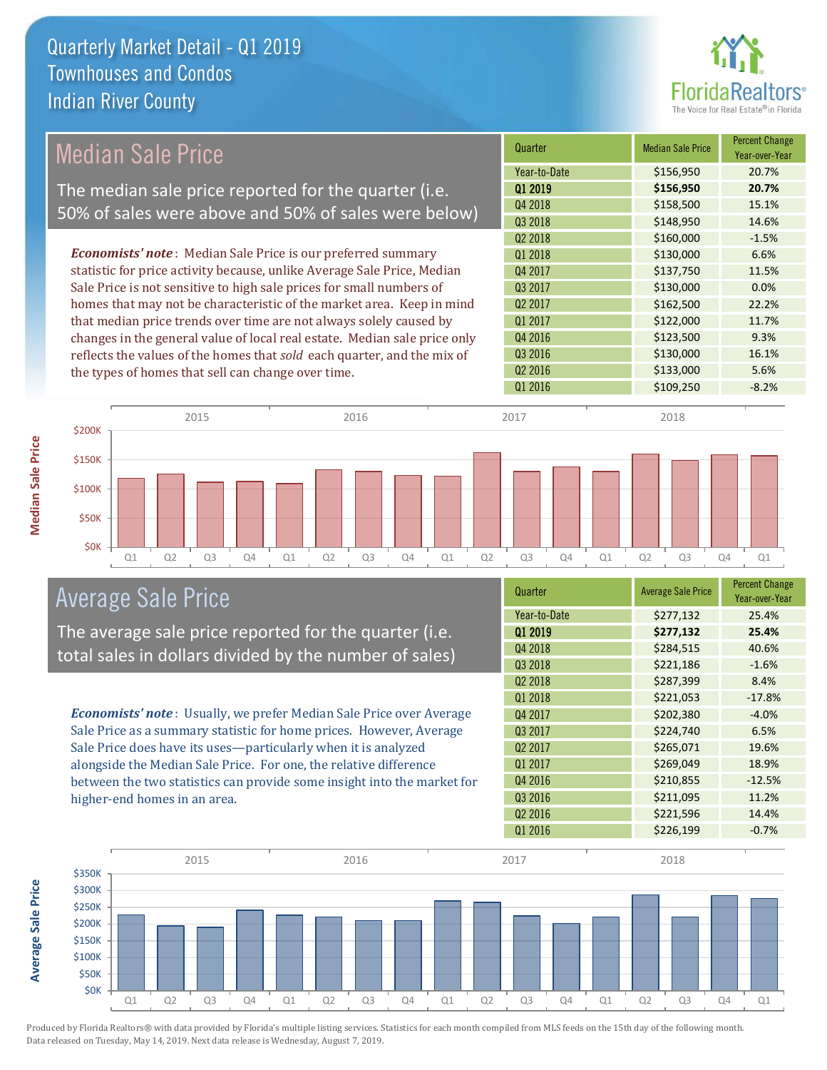

# Median Sale Price

The median sale price reported for the quarter (i.e. 50% of sales were above and 50% of sales were below)

*Economists' note* : Median Sale Price is our preferred summary statistic for price activity because, unlike Average Sale Price, Median Sale Price is not sensitive to high sale prices for small numbers of homes that may not be characteristic of the market area. Keep in mind that median price trends over time are not always solely caused by changes in the general value of local real estate. Median sale price only reflects the values of the homes that *sold* each quarter, and the mix of the types of homes that sell can change over time.

| Quarter             | <b>Median Sale Price</b> | <b>Percent Change</b><br>Year-over-Year |
|---------------------|--------------------------|-----------------------------------------|
| Year-to-Date        | \$156,950                | 20.7%                                   |
| Q1 2019             | \$156,950                | 20.7%                                   |
| 04 2018             | \$158,500                | 15.1%                                   |
| Q3 2018             | \$148,950                | 14.6%                                   |
| Q <sub>2</sub> 2018 | \$160,000                | $-1.5%$                                 |
| Q1 2018             | \$130,000                | 6.6%                                    |
| Q4 2017             | \$137,750                | 11.5%                                   |
| Q3 2017             | \$130,000                | 0.0%                                    |
| Q <sub>2</sub> 2017 | \$162,500                | 22.2%                                   |
| Q1 2017             | \$122,000                | 11.7%                                   |
| Q4 2016             | \$123,500                | 9.3%                                    |
| Q3 2016             | \$130,000                | 16.1%                                   |
| Q <sub>2</sub> 2016 | \$133,000                | 5.6%                                    |
| Q1 2016             | \$109,250                | $-8.2%$                                 |



## Average Sale Price

The average sale price reported for the quarter (i.e. total sales in dollars divided by the number of sales)

*Economists' note* : Usually, we prefer Median Sale Price over Average Sale Price as a summary statistic for home prices. However, Average Sale Price does have its uses—particularly when it is analyzed alongside the Median Sale Price. For one, the relative difference between the two statistics can provide some insight into the market for higher-end homes in an area.

| Quarter             | <b>Average Sale Price</b> | <b>Percent Change</b><br>Year-over-Year |
|---------------------|---------------------------|-----------------------------------------|
| Year-to-Date        | \$277,132                 | 25.4%                                   |
| 01 2019             | \$277,132                 | 25.4%                                   |
| Q4 2018             | \$284,515                 | 40.6%                                   |
| Q3 2018             | \$221,186                 | $-1.6%$                                 |
| Q2 2018             | \$287,399                 | 8.4%                                    |
| Q1 2018             | \$221,053                 | $-17.8%$                                |
| Q4 2017             | \$202,380                 | $-4.0%$                                 |
| Q3 2017             | \$224,740                 | 6.5%                                    |
| Q <sub>2</sub> 2017 | \$265,071                 | 19.6%                                   |
| Q1 2017             | \$269,049                 | 18.9%                                   |
| Q4 2016             | \$210,855                 | $-12.5%$                                |
| Q3 2016             | \$211,095                 | 11.2%                                   |
| Q <sub>2</sub> 2016 | \$221,596                 | 14.4%                                   |
| Q1 2016             | \$226,199                 | $-0.7%$                                 |



Produced by Florida Realtors® with data provided by Florida's multiple listing services. Statistics for each month compiled from MLS feeds on the 15th day of the following month. Data released on Tuesday, May 14, 2019. Next data release is Wednesday, August 7, 2019.

**Average Sale Price**

**Average Sale Price**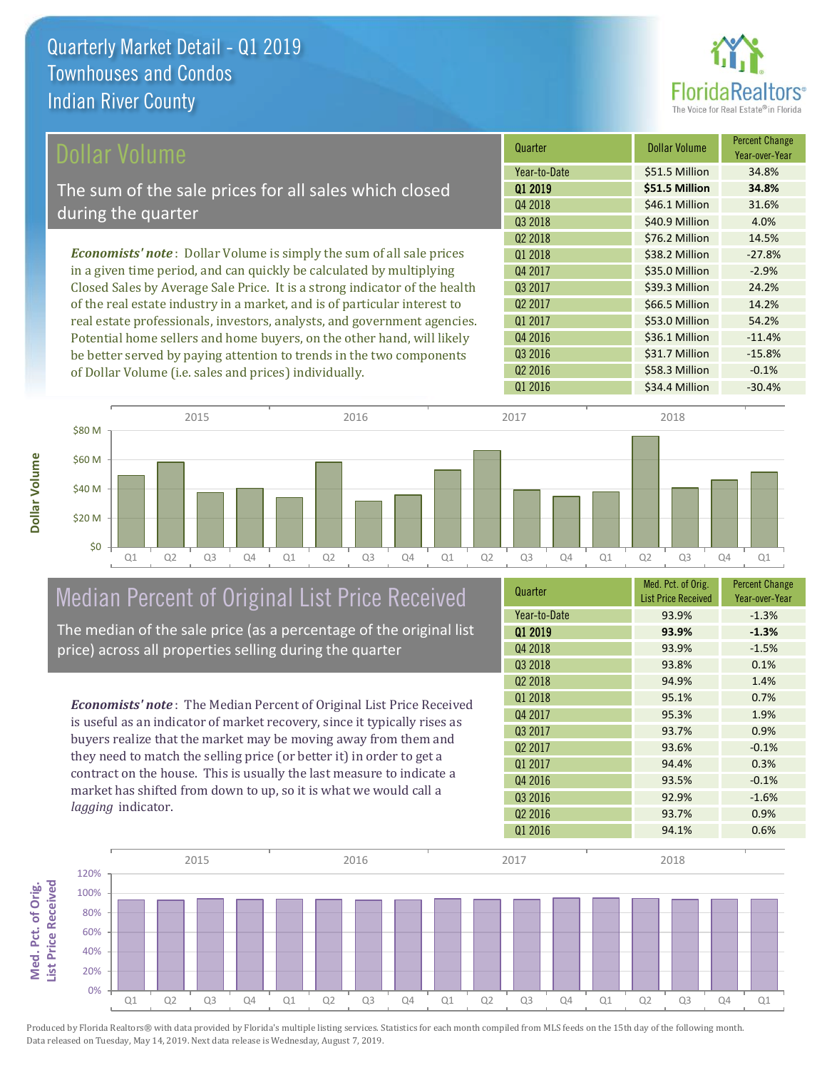

| Dollar Volume                                                                | Quarter             | <b>Dollar Volume</b> | <b>Percent Change</b><br>Year-over-Year |
|------------------------------------------------------------------------------|---------------------|----------------------|-----------------------------------------|
|                                                                              | Year-to-Date        | \$51.5 Million       | 34.8%                                   |
| The sum of the sale prices for all sales which closed                        | 01 2019             | \$51.5 Million       | 34.8%                                   |
| during the quarter                                                           | Q4 2018             | \$46.1 Million       | 31.6%                                   |
|                                                                              | Q3 2018             | \$40.9 Million       | 4.0%                                    |
|                                                                              | Q <sub>2</sub> 2018 | \$76.2 Million       | 14.5%                                   |
| <b>Economists' note</b> : Dollar Volume is simply the sum of all sale prices | Q1 2018             | \$38.2 Million       | $-27.8%$                                |
| in a given time period, and can quickly be calculated by multiplying         | Q4 2017             | \$35.0 Million       | $-2.9%$                                 |
| Closed Sales by Average Sale Price. It is a strong indicator of the health   | Q3 2017             | \$39.3 Million       | 24.2%                                   |
| of the real estate industry in a market, and is of particular interest to    | Q <sub>2</sub> 2017 | \$66.5 Million       | 14.2%                                   |
| real estate professionals, investors, analysts, and government agencies.     | Q1 2017             | \$53.0 Million       | 54.2%                                   |
| Potential home sellers and home buyers, on the other hand, will likely       | Q4 2016             | \$36.1 Million       | $-11.4%$                                |
| be better served by paying attention to trends in the two components         | 03 2016             | \$31.7 Million       | $-15.8%$                                |

of Dollar Volume (i.e. sales and prices) individually.



# Median Percent of Original List Price Received

The median of the sale price (as a percentage of the original list price) across all properties selling during the quarter

*Economists' note* : The Median Percent of Original List Price Received is useful as an indicator of market recovery, since it typically rises as buyers realize that the market may be moving away from them and they need to match the selling price (or better it) in order to get a contract on the house. This is usually the last measure to indicate a market has shifted from down to up, so it is what we would call a *lagging* indicator.

| Quarter             | Med. Pct. of Orig.<br><b>List Price Received</b> | <b>Percent Change</b><br>Year-over-Year |
|---------------------|--------------------------------------------------|-----------------------------------------|
| Year-to-Date        | 93.9%                                            | $-1.3%$                                 |
| Q1 2019             | 93.9%                                            | $-1.3%$                                 |
| Q4 2018             | 93.9%                                            | $-1.5%$                                 |
| Q3 2018             | 93.8%                                            | 0.1%                                    |
| Q <sub>2</sub> 2018 | 94.9%                                            | 1.4%                                    |
| Q1 2018             | 95.1%                                            | 0.7%                                    |
| Q4 2017             | 95.3%                                            | 1.9%                                    |
| 03 2017             | 93.7%                                            | 0.9%                                    |
| Q <sub>2</sub> 2017 | 93.6%                                            | $-0.1%$                                 |
| Q1 2017             | 94.4%                                            | 0.3%                                    |
| Q4 2016             | 93.5%                                            | $-0.1%$                                 |
| Q3 2016             | 92.9%                                            | $-1.6%$                                 |
| Q <sub>2</sub> 2016 | 93.7%                                            | 0.9%                                    |
| Q1 2016             | 94.1%                                            | 0.6%                                    |

Q1 2016 **\$34.4 Million -30.4%** 

Q2 2016 **\$58.3 Million** -0.1%

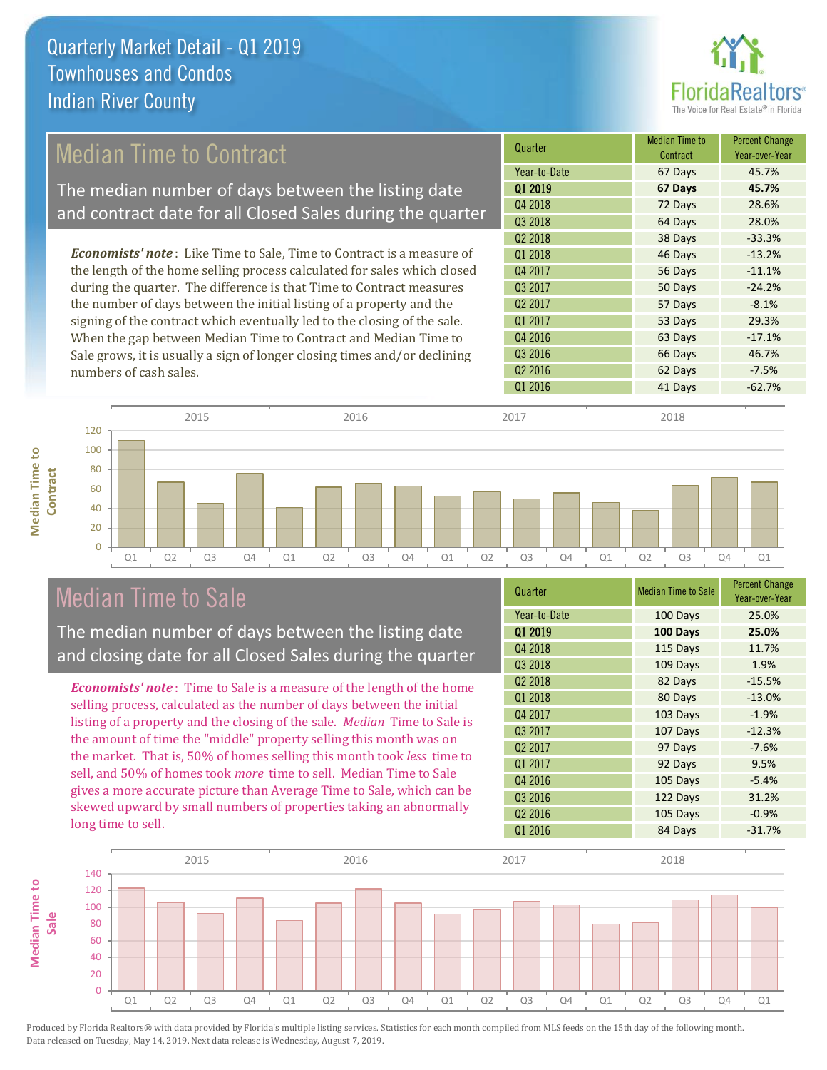

## Median Time to Contract

The median number of days between the listing date and contract date for all Closed Sales during the quarter

*Economists' note* : Like Time to Sale, Time to Contract is a measure of the length of the home selling process calculated for sales which closed during the quarter. The difference is that Time to Contract measures the number of days between the initial listing of a property and the signing of the contract which eventually led to the closing of the sale. When the gap between Median Time to Contract and Median Time to Sale grows, it is usually a sign of longer closing times and/or declining numbers of cash sales.

| Quarter             | <b>Median Time to</b><br>Contract | <b>Percent Change</b><br>Year-over-Year |
|---------------------|-----------------------------------|-----------------------------------------|
| Year-to-Date        | 67 Days                           | 45.7%                                   |
| Q1 2019             | 67 Days                           | 45.7%                                   |
| Q4 2018             | 72 Days                           | 28.6%                                   |
| Q3 2018             | 64 Days                           | 28.0%                                   |
| Q <sub>2</sub> 2018 | 38 Days                           | $-33.3%$                                |
| Q1 2018             | 46 Days                           | $-13.2%$                                |
| Q4 2017             | 56 Days                           | $-11.1%$                                |
| Q3 2017             | 50 Days                           | $-24.2%$                                |
| Q <sub>2</sub> 2017 | 57 Days                           | $-8.1%$                                 |
| Q1 2017             | 53 Days                           | 29.3%                                   |
| Q4 2016             | 63 Days                           | $-17.1%$                                |
| Q3 2016             | 66 Days                           | 46.7%                                   |
| Q <sub>2</sub> 2016 | 62 Days                           | $-7.5%$                                 |
| Q1 2016             | 41 Days                           | $-62.7%$                                |
|                     |                                   |                                         |



| Q1 | Q <sub>2</sub> | Q3 | Q4 | Q1 | Q <sub>2</sub> | Q <sub>3</sub> | Q4 | Q1 | Q <sub>2</sub> | Q <sub>3</sub> | Q4 | Q1 | Q <sub>2</sub> | O <sub>3</sub> |     | Q4 | Q1                   |  |
|----|----------------|----|----|----|----------------|----------------|----|----|----------------|----------------|----|----|----------------|----------------|-----|----|----------------------|--|
|    |                |    |    |    |                |                |    |    |                |                |    |    |                |                | . . |    | <b>Percent Chang</b> |  |

2015 2016 2017 2018

## Median Time to Sale

120

The median number of days between the listing date and closing date for all Closed Sales during the quarter

*Economists' note* : Time to Sale is a measure of the length of the home selling process, calculated as the number of days between the initial listing of a property and the closing of the sale. *Median* Time to Sale is the amount of time the "middle" property selling this month was on the market. That is, 50% of homes selling this month took *less* time to sell, and 50% of homes took *more* time to sell. Median Time to Sale gives a more accurate picture than Average Time to Sale, which can be skewed upward by small numbers of properties taking an abnormally long time to sell.

| Quarter             | <b>Median Time to Sale</b> | <b>Percent Change</b><br>Year-over-Year |
|---------------------|----------------------------|-----------------------------------------|
| Year-to-Date        | 100 Days                   | 25.0%                                   |
| Q1 2019             | 100 Days                   | 25.0%                                   |
| Q4 2018             | 115 Days                   | 11.7%                                   |
| Q3 2018             | 109 Days                   | 1.9%                                    |
| Q <sub>2</sub> 2018 | 82 Days                    | $-15.5%$                                |
| Q1 2018             | 80 Days                    | $-13.0%$                                |
| Q4 2017             | 103 Days                   | $-1.9%$                                 |
| Q3 2017             | 107 Days                   | $-12.3%$                                |
| Q <sub>2</sub> 2017 | 97 Days                    | $-7.6%$                                 |
| Q1 2017             | 92 Days                    | 9.5%                                    |
| Q4 2016             | 105 Days                   | $-5.4%$                                 |
| Q3 2016             | 122 Days                   | 31.2%                                   |
| Q <sub>2</sub> 2016 | 105 Days                   | $-0.9%$                                 |
| Q1 2016             | 84 Days                    | $-31.7%$                                |

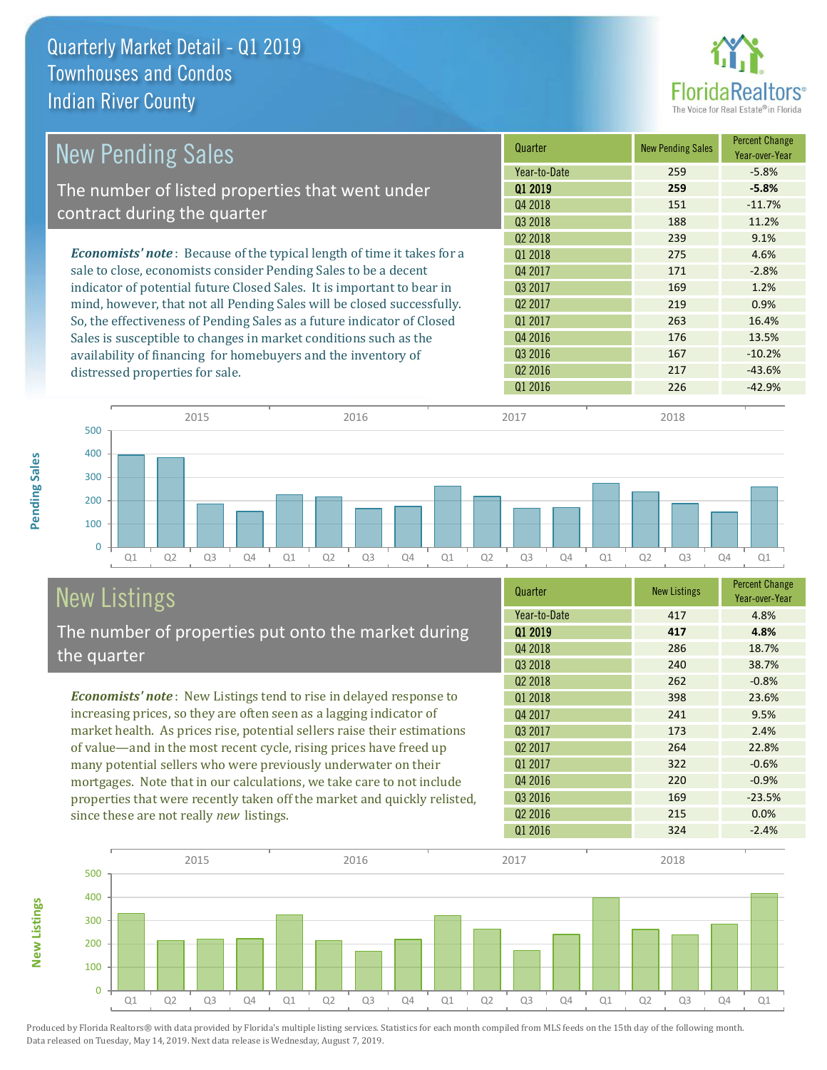

| <b>New Pending Sales</b><br>The number of listed properties that went under   | Year-to-Date        |     |          |
|-------------------------------------------------------------------------------|---------------------|-----|----------|
|                                                                               |                     | 259 | $-5.8%$  |
|                                                                               | 01 2019             | 259 | $-5.8%$  |
|                                                                               | Q4 2018             | 151 | $-11.7%$ |
| contract during the quarter                                                   | Q3 2018             | 188 | 11.2%    |
|                                                                               | Q <sub>2</sub> 2018 | 239 | 9.1%     |
| <b>Economists' note:</b> Because of the typical length of time it takes for a | 01 2018             | 275 | 4.6%     |
| sale to close, economists consider Pending Sales to be a decent               | Q4 2017             | 171 | $-2.8%$  |
| indicator of potential future Closed Sales. It is important to bear in        | Q3 2017             | 169 | 1.2%     |
| mind, however, that not all Pending Sales will be closed successfully.        | Q <sub>2</sub> 2017 | 219 | 0.9%     |
| So, the effectiveness of Pending Sales as a future indicator of Closed        | Q1 2017             | 263 | 16.4%    |
| Sales is susceptible to changes in market conditions such as the              | Q4 2016             | 176 | 13.5%    |
| availability of financing for homebuyers and the inventory of                 | Q3 2016             | 167 | $-10.2%$ |
| distressed properties for sale.                                               | Q <sub>2</sub> 2016 | 217 | $-43.6%$ |
|                                                                               | Q1 2016             | 226 | $-42.9%$ |

**New Listings**



# New Listings

The number of properties put onto the market during the quarter

*Economists' note* : New Listings tend to rise in delayed response to increasing prices, so they are often seen as a lagging indicator of market health. As prices rise, potential sellers raise their estimations of value—and in the most recent cycle, rising prices have freed up many potential sellers who were previously underwater on their mortgages. Note that in our calculations, we take care to not include properties that were recently taken off the market and quickly relisted, since these are not really *new* listings.

| Quarter             | <b>New Listings</b> | <b>Percent Change</b><br>Year-over-Year |
|---------------------|---------------------|-----------------------------------------|
| Year-to-Date        | 417                 | 4.8%                                    |
| 01 2019             | 417                 | 4.8%                                    |
| Q4 2018             | 286                 | 18.7%                                   |
| Q3 2018             | 240                 | 38.7%                                   |
| 02 2018             | 262                 | $-0.8%$                                 |
| Q1 2018             | 398                 | 23.6%                                   |
| Q4 2017             | 241                 | 9.5%                                    |
| Q3 2017             | 173                 | 2.4%                                    |
| 02 2017             | 264                 | 22.8%                                   |
| Q1 2017             | 322                 | $-0.6%$                                 |
| Q4 2016             | 220                 | $-0.9%$                                 |
| Q3 2016             | 169                 | $-23.5%$                                |
| Q <sub>2</sub> 2016 | 215                 | 0.0%                                    |
| Q1 2016             | 324                 | $-2.4%$                                 |

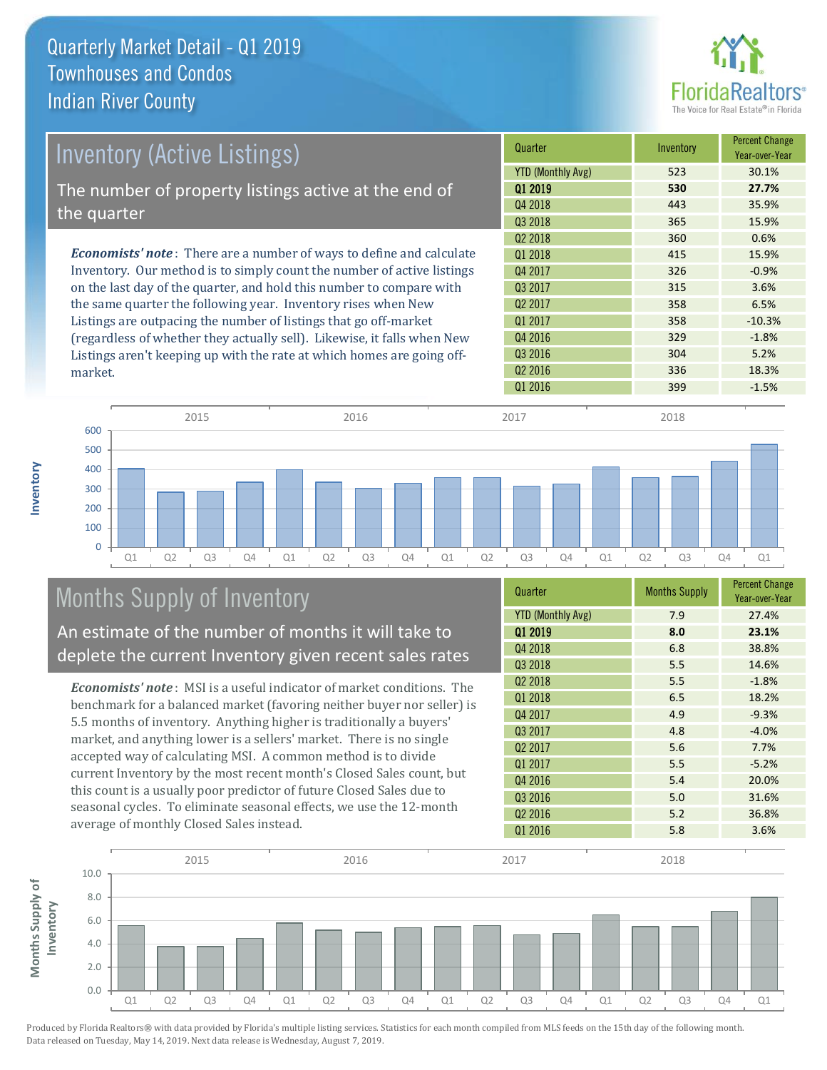

| Inventory (Active Listings)                                                  | Quarter                  | Inventory | <b>Percent Change</b><br>Year-over-Year |
|------------------------------------------------------------------------------|--------------------------|-----------|-----------------------------------------|
|                                                                              | <b>YTD (Monthly Avg)</b> | 523       | 30.1%                                   |
| The number of property listings active at the end of                         | 01 2019                  | 530       | 27.7%                                   |
| the quarter                                                                  | Q4 2018                  | 443       | 35.9%                                   |
|                                                                              | Q3 2018                  | 365       | 15.9%                                   |
|                                                                              | Q <sub>2</sub> 2018      | 360       | 0.6%                                    |
| <b>Economists' note</b> : There are a number of ways to define and calculate | 01 2018                  | 415       | 15.9%                                   |
| Inventory. Our method is to simply count the number of active listings       | Q4 2017                  | 326       | $-0.9%$                                 |
| on the last day of the quarter, and hold this number to compare with         | 03 2017                  | 315       | 3.6%                                    |
| the same quarter the following year. Inventory rises when New                | 02 2017                  | 358       | 6.5%                                    |
| Listings are outpacing the number of listings that go off-market             | Q1 2017                  | 358       | $-10.3%$                                |
| (regardless of whether they actually sell). Likewise, it falls when New      | Q4 2016                  | 329       | $-1.8%$                                 |
| Listings aren't keeping up with the rate at which homes are going off-       | Q3 2016                  | 304       | 5.2%                                    |



# Months Supply of Inventory

market.

**Inventory**

An estimate of the number of months it will take to deplete the current Inventory given recent sales rates

*Economists' note* : MSI is a useful indicator of market conditions. The benchmark for a balanced market (favoring neither buyer nor seller) is 5.5 months of inventory. Anything higher is traditionally a buyers' market, and anything lower is a sellers' market. There is no single accepted way of calculating MSI. A common method is to divide current Inventory by the most recent month's Closed Sales count, but this count is a usually poor predictor of future Closed Sales due to seasonal cycles. To eliminate seasonal effects, we use the 12-month average of monthly Closed Sales instead.

| Quarter                  | <b>Months Supply</b> | <b>Percent Change</b><br>Year-over-Year |
|--------------------------|----------------------|-----------------------------------------|
| <b>YTD (Monthly Avg)</b> | 7.9                  | 27.4%                                   |
| 01 2019                  | 8.0                  | 23.1%                                   |
| Q4 2018                  | 6.8                  | 38.8%                                   |
| Q3 2018                  | 5.5                  | 14.6%                                   |
| 02 2018                  | 5.5                  | $-1.8%$                                 |
| Q1 2018                  | 6.5                  | 18.2%                                   |
| Q4 2017                  | 4.9                  | $-9.3%$                                 |
| Q3 2017                  | 4.8                  | $-4.0%$                                 |
| Q <sub>2</sub> 2017      | 5.6                  | 7.7%                                    |
| Q1 2017                  | 5.5                  | $-5.2%$                                 |
| Q4 2016                  | 5.4                  | 20.0%                                   |
| Q3 2016                  | 5.0                  | 31.6%                                   |
| Q <sub>2</sub> 2016      | 5.2                  | 36.8%                                   |
| Q1 2016                  | 5.8                  | 3.6%                                    |

Q2 2016 336 18.3%

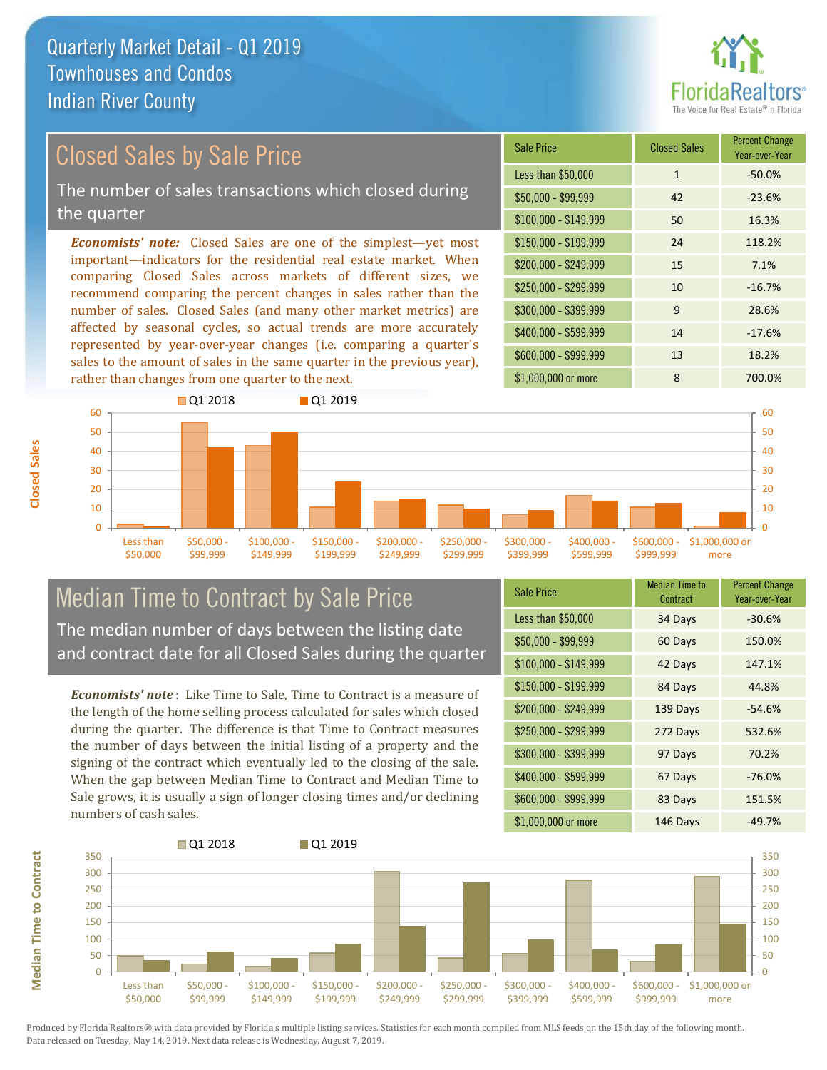

## Closed Sales by Sale Price

The number of sales transactions which closed during the quarter

*Economists' note:* Closed Sales are one of the simplest—yet most important—indicators for the residential real estate market. When comparing Closed Sales across markets of different sizes, we recommend comparing the percent changes in sales rather than the number of sales. Closed Sales (and many other market metrics) are affected by seasonal cycles, so actual trends are more accurately represented by year-over-year changes (i.e. comparing a quarter's sales to the amount of sales in the same quarter in the previous year), rather than changes from one quarter to the next.





## Median Time to Contract by Sale Price The median number of days between the listing date and contract date for all Closed Sales during the quarter

*Economists' note* : Like Time to Sale, Time to Contract is a measure of the length of the home selling process calculated for sales which closed during the quarter. The difference is that Time to Contract measures the number of days between the initial listing of a property and the signing of the contract which eventually led to the closing of the sale. When the gap between Median Time to Contract and Median Time to Sale grows, it is usually a sign of longer closing times and/or declining numbers of cash sales.

| <b>Sale Price</b>     | <b>Median Time to</b><br>Contract | <b>Percent Change</b><br>Year-over-Year |
|-----------------------|-----------------------------------|-----------------------------------------|
| Less than \$50,000    | 34 Days                           | $-30.6%$                                |
| $$50,000 - $99,999$   | 60 Days                           | 150.0%                                  |
| $$100,000 - $149,999$ | 42 Days                           | 147.1%                                  |
| $$150,000 - $199,999$ | 84 Days                           | 44.8%                                   |
| \$200,000 - \$249,999 | 139 Days                          | $-54.6%$                                |
| \$250,000 - \$299,999 | 272 Days                          | 532.6%                                  |
| \$300,000 - \$399,999 | 97 Days                           | 70.2%                                   |
| \$400,000 - \$599,999 | 67 Days                           | $-76.0%$                                |
| \$600,000 - \$999,999 | 83 Days                           | 151.5%                                  |
| \$1,000,000 or more   | 146 Days                          | $-49.7%$                                |



Produced by Florida Realtors® with data provided by Florida's multiple listing services. Statistics for each month compiled from MLS feeds on the 15th day of the following month. Data released on Tuesday, May 14, 2019. Next data release is Wednesday, August 7, 2019.

**Median Time to Contract**

**Median Time to Contract**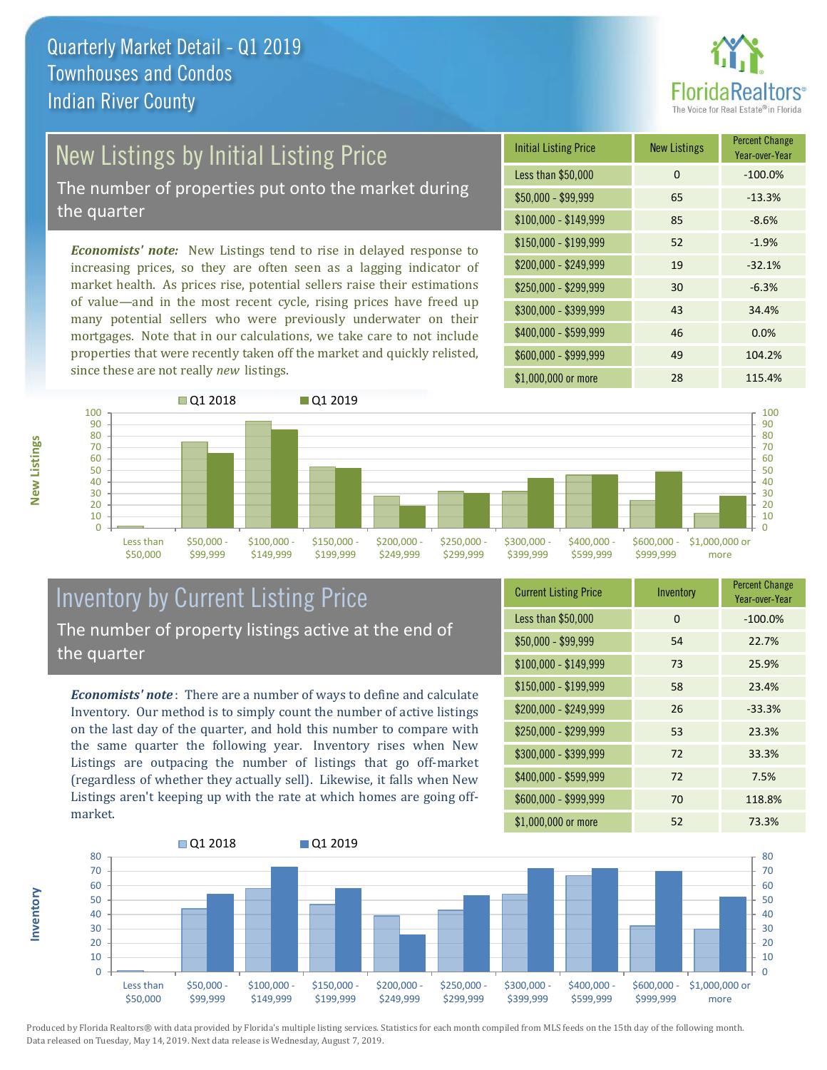

# New Listings by Initial Listing Price

The number of properties put onto the market during the quarter

*Economists' note:* New Listings tend to rise in delayed response to increasing prices, so they are often seen as a lagging indicator of market health. As prices rise, potential sellers raise their estimations of value—and in the most recent cycle, rising prices have freed up many potential sellers who were previously underwater on their mortgages. Note that in our calculations, we take care to not include properties that were recently taken off the market and quickly relisted, since these are not really *new* listings.

| <b>Initial Listing Price</b> | <b>New Listings</b> | <b>Percent Change</b><br>Year-over-Year |
|------------------------------|---------------------|-----------------------------------------|
| Less than \$50,000           | 0                   | $-100.0%$                               |
| $$50,000 - $99,999$          | 65                  | $-13.3%$                                |
| $$100,000 - $149,999$        | 85                  | $-8.6%$                                 |
| $$150,000 - $199,999$        | 52                  | $-1.9%$                                 |
| \$200,000 - \$249,999        | 19                  | $-32.1%$                                |
| \$250,000 - \$299,999        | 30                  | $-6.3%$                                 |
| \$300,000 - \$399,999        | 43                  | 34.4%                                   |
| \$400,000 - \$599,999        | 46                  | 0.0%                                    |
| \$600,000 - \$999,999        | 49                  | 104.2%                                  |
| \$1,000,000 or more          | 28                  | 115.4%                                  |



## Inventory by Current Listing Price The number of property listings active at the end of the quarter

*Economists' note* : There are a number of ways to define and calculate Inventory. Our method is to simply count the number of active listings on the last day of the quarter, and hold this number to compare with the same quarter the following year. Inventory rises when New Listings are outpacing the number of listings that go off-market (regardless of whether they actually sell). Likewise, it falls when New Listings aren't keeping up with the rate at which homes are going offmarket.

| <b>Current Listing Price</b> | Inventory | <b>Percent Change</b><br>Year-over-Year |
|------------------------------|-----------|-----------------------------------------|
| Less than \$50,000           | 0         | $-100.0%$                               |
| $$50,000 - $99,999$          | 54        | 22.7%                                   |
| $$100,000 - $149,999$        | 73        | 25.9%                                   |
| $$150,000 - $199,999$        | 58        | 23.4%                                   |
| \$200,000 - \$249,999        | 26        | $-33.3%$                                |
| \$250,000 - \$299,999        | 53        | 23.3%                                   |
| \$300,000 - \$399,999        | 72        | 33.3%                                   |
| $$400,000 - $599,999$        | 72        | 7.5%                                    |
| \$600,000 - \$999,999        | 70        | 118.8%                                  |
| \$1,000,000 or more          | 52        | 73.3%                                   |



Produced by Florida Realtors® with data provided by Florida's multiple listing services. Statistics for each month compiled from MLS feeds on the 15th day of the following month. Data released on Tuesday, May 14, 2019. Next data release is Wednesday, August 7, 2019.

**Inventory**